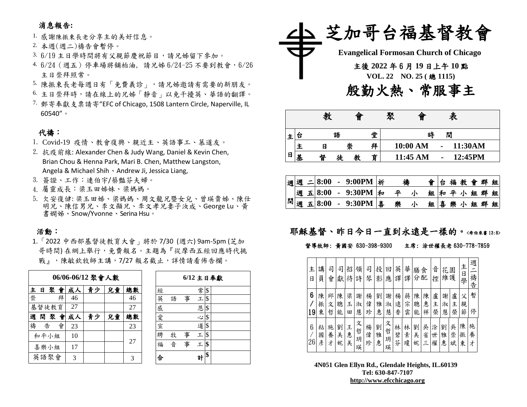# 消息報告**:**

- 1. 感謝陳振東長老分享主的美好信息。
- 2. 本週(週二)禱告會暫停。
- 3. 6/19 主日學時間將有父親節慶祝節目,請兄姊留下參加。
- 4. 6/24(週五)停車場將舖柏油, 請兄姊 6/24-25 不要到教會,6/26 主日崇拜照常。
- 5. 陳振東長老每週日有「免費義診」,請兄姊邀請有需要的新朋友。
- 6. 主日崇拜時,請在線上的兄姊「靜音」以免干擾英、華語的翻譯。
- 7. 郵寄奉獻支票請寄"EFC of Chicago, 1508 Lantern Circle, Naperville, IL 60540"。

## 代禱:

- 1. Covid-19 疫情、教會復興、親近主、英語事工、慕道友。
- 2. 抗疫前線: Alexander Chen & Judy Wang, Daniel & Kevin Chen, Brian Chou & Henna Park, Mari B. Chen, Matthew Langston, Angela & Michael Shih、Andrew Ji, Jessica Liang,
- 3. 簽證、工作:連伯宇/蔡豔芬夫婦。
- 4. 屬靈成長:梁玉田姊妹、梁媽媽。
- 5. 欠安復健: 梁玉田姊、梁媽媽、周文龍兄暨女兒、曾瑛貴姊、陳仕 明兄、陳信男兄、李文顯兄、李文孝兄妻子汝成、George Lu、黃 書嫻姊、Snow/Yvonne、Serina Hsu。

### 活動:

1.「2022 中西部基督徒教育大會」將於 7/30 (週六) 9am-5pm (芝加 哥時間) 在網上舉行,免費報名。主題為『從摩西五經回應時代挑 戰」,陳敏欽牧師主講,7/27報名截止,詳情請看佈告欄。

|   | 06/06-06/12 聚會人數 |       |   |    |    |    |    |  |  |  |
|---|------------------|-------|---|----|----|----|----|--|--|--|
| 主 | <b>E</b>         | 聚會    |   | 成人 | 青少 | 兒童 | 總數 |  |  |  |
| 崇 |                  |       | 拜 | 46 |    |    | 46 |  |  |  |
|   |                  | 基督徒教育 |   | 27 |    |    | 27 |  |  |  |
| 週 |                  | 間聚會   |   | 成人 | 青少 | 兒童 | 總數 |  |  |  |
| 禱 |                  | 告     | 會 | 23 |    |    | 23 |  |  |  |
|   |                  | 和平小組  |   | 10 |    |    | 27 |  |  |  |
|   |                  | 喜樂小組  |   | 17 |    |    |    |  |  |  |
|   |                  | 英語聚會  |   | 3  |    |    | 3  |  |  |  |

| $6/12$ 主日奉獻 |   |   |   |    |  |  |  |  |  |  |
|-------------|---|---|---|----|--|--|--|--|--|--|
| 經           |   |   | 常 | \$ |  |  |  |  |  |  |
| 英           | 語 | 事 | エ | \$ |  |  |  |  |  |  |
|             |   |   | 恩 | \$ |  |  |  |  |  |  |
| 感愛宣         |   |   | Ľ | \$ |  |  |  |  |  |  |
|             |   |   | 道 | \$ |  |  |  |  |  |  |
| 聘           | 牧 | 事 | τ | \$ |  |  |  |  |  |  |
| 福           | 音 | 事 | 工 | \$ |  |  |  |  |  |  |
|             |   |   |   | \$ |  |  |  |  |  |  |



|   |   | 教 |   | 旨 |   | 聚 | 曾        |                | 表 |         |
|---|---|---|---|---|---|---|----------|----------------|---|---------|
| 土 | 台 |   | 語 |   | 堂 |   | 時        | 閒              |   |         |
|   | Ŧ | E | 崇 |   | 拜 |   | 10:00 AM |                |   | 11:30AM |
| 日 | 基 | 督 | 徒 |   | 育 |   | 11:45 AM | $\blacksquare$ |   | 12:45PM |

|   | 週週 | $= 8:00$ | - 9:00PM   祈       | 禱 |   |   |  | 台福教會群組  |  |
|---|----|----------|--------------------|---|---|---|--|---------|--|
|   |    |          | 週 五8:00 - 9:30PM 和 | 亚 | 組 | 和 |  | 平小组群组   |  |
| 間 | 週  |          | 五 8:00 - 9:30PM 專  | 樂 |   |   |  | 組喜樂小組群組 |  |

# 耶穌基督、昨日今日一直到永遠是一樣的。<希伯來書13:8>

#### 督導牧師: 黃國安 630-398-9300 主席: 涂世權長老 630-778-7859

| 主<br>日  | 講<br>員      | 司<br>會      | 司<br>獻      | 招<br>待      | 領<br>詩           | 司<br>琴      | 投<br>影      | 回<br>應           | 英<br>譯      | 華<br>譯      | 膳<br>分      | 食<br>配      | 音<br>控      | 花<br>維護     | 園           | 主<br>日<br>學 | 週<br>禱<br>告 |
|---------|-------------|-------------|-------------|-------------|------------------|-------------|-------------|------------------|-------------|-------------|-------------|-------------|-------------|-------------|-------------|-------------|-------------|
| 6<br>19 | 陳<br>振<br>東 | 邱<br>文<br>哲 | 陳<br>聰<br>能 | 梁<br>玉<br>田 | 謝<br>淑<br>慧      | 楊<br>偉<br>珍 | 劉<br>雅<br>惠 | 謝<br>淑<br>慧      | 楊<br>遠<br>香 | 蔣<br>宗<br>雲 | 陳<br>聰<br>能 | 陳<br>惠<br>祥 | 盧<br>主<br>榮 | 謝<br>淑<br>慧 | 盧<br>主<br>榮 | 父<br>親<br>節 | 暫<br>停      |
| 6<br>26 | 粘<br>國<br>彥 | 施<br>養<br>ォ | 劉<br>美<br>妮 | 王<br>惠<br>美 | 文<br>哲<br>玥<br>瑛 | 楊<br>偉<br>珍 | 劉<br>雅<br>惠 | 文<br>哲<br>玥<br>瑛 | 林<br>碧<br>芬 | 林<br>素<br>瓊 | 劉<br>美<br>妮 | 吳<br>省<br>Ξ | 涂<br>世<br>權 | 劉<br>雅<br>惠 | 吳<br>崇<br>斌 | 陳<br>振<br>東 | 施<br>養<br>才 |

**4N051 Glen Ellyn Rd., Glendale Heights, IL.60139 Tel: 630-847-7107 [http://www.efcchicago.org](http://www.efcchicago.org/)**